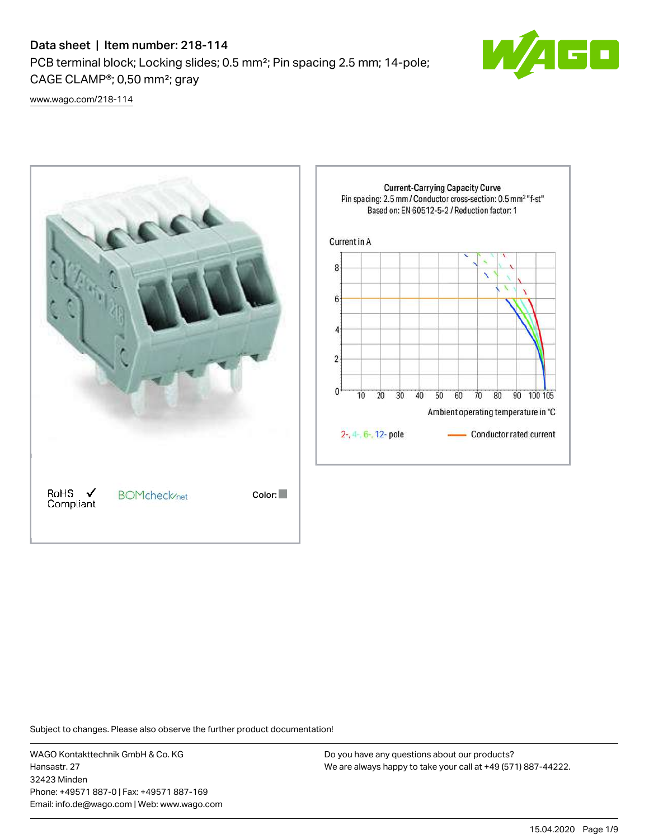# Data sheet | Item number: 218-114 PCB terminal block; Locking slides; 0.5 mm²; Pin spacing 2.5 mm; 14-pole; CAGE CLAMP®; 0,50 mm²; gray



[www.wago.com/218-114](http://www.wago.com/218-114)



Subject to changes. Please also observe the further product documentation!

WAGO Kontakttechnik GmbH & Co. KG Hansastr. 27 32423 Minden Phone: +49571 887-0 | Fax: +49571 887-169 Email: info.de@wago.com | Web: www.wago.com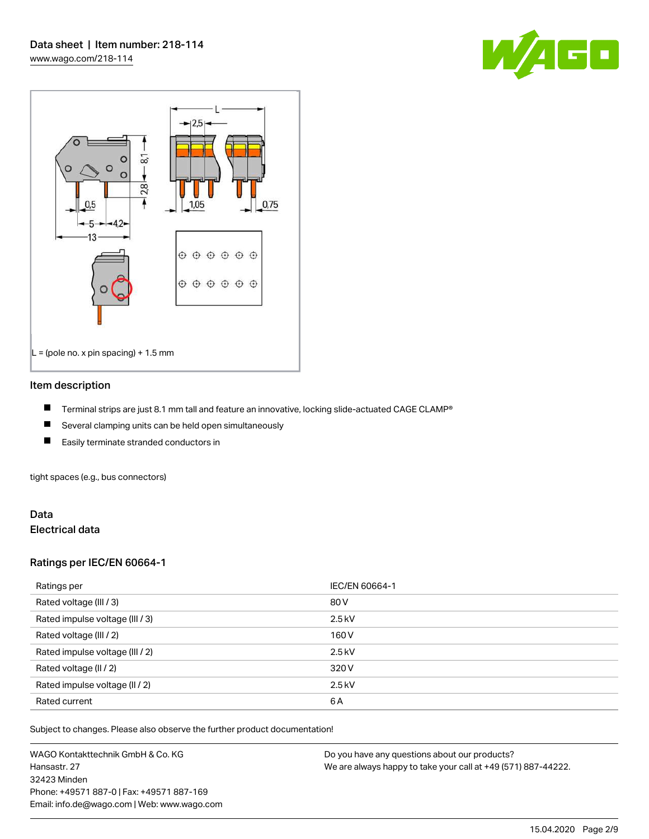



#### Item description

- П Terminal strips are just 8.1 mm tall and feature an innovative, locking slide-actuated CAGE CLAMP®
- $\blacksquare$ Several clamping units can be held open simultaneously
- П Easily terminate stranded conductors in

tight spaces (e.g., bus connectors)

#### Data Electrical data

#### Ratings per IEC/EN 60664-1

| Ratings per                     | IEC/EN 60664-1 |
|---------------------------------|----------------|
| Rated voltage (III / 3)         | 80 V           |
| Rated impulse voltage (III / 3) | $2.5$ kV       |
| Rated voltage (III / 2)         | 160 V          |
| Rated impulse voltage (III / 2) | $2.5$ kV       |
| Rated voltage (II / 2)          | 320 V          |
| Rated impulse voltage (II / 2)  | $2.5$ kV       |
| Rated current                   | 6A             |

Subject to changes. Please also observe the further product documentation!

WAGO Kontakttechnik GmbH & Co. KG Hansastr. 27 32423 Minden Phone: +49571 887-0 | Fax: +49571 887-169 Email: info.de@wago.com | Web: www.wago.com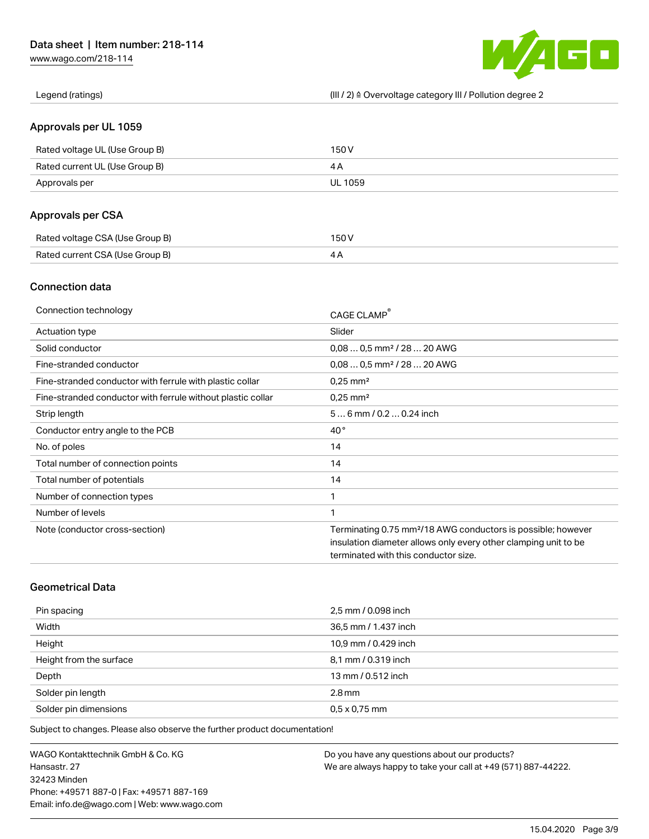[www.wago.com/218-114](http://www.wago.com/218-114)



Legend (ratings) (III / 2) ≙ Overvoltage category III / Pollution degree 2

### Approvals per UL 1059

| Rated voltage UL (Use Group B) | 150 V   |
|--------------------------------|---------|
| Rated current UL (Use Group B) |         |
| Approvals per                  | UL 1059 |

# Approvals per CSA

| Rated voltage CSA (Use Group B) | 150 V |
|---------------------------------|-------|
| Rated current CSA (Use Group B) |       |

### Connection data

| Connection technology                                       | CAGE CLAMP®                                                              |
|-------------------------------------------------------------|--------------------------------------------------------------------------|
| Actuation type                                              | Slider                                                                   |
| Solid conductor                                             | $0.080.5$ mm <sup>2</sup> / 28  20 AWG                                   |
| Fine-stranded conductor                                     | $0.080.5$ mm <sup>2</sup> / 28  20 AWG                                   |
| Fine-stranded conductor with ferrule with plastic collar    | $0.25$ mm <sup>2</sup>                                                   |
| Fine-stranded conductor with ferrule without plastic collar | $0.25$ mm <sup>2</sup>                                                   |
| Strip length                                                | $56$ mm $/ 0.20.24$ inch                                                 |
| Conductor entry angle to the PCB                            | $40^{\circ}$                                                             |
| No. of poles                                                | 14                                                                       |
| Total number of connection points                           | 14                                                                       |
| Total number of potentials                                  | 14                                                                       |
| Number of connection types                                  | 1                                                                        |
| Number of levels                                            | 1                                                                        |
| Note (conductor cross-section)                              | Terminating 0.75 mm <sup>2</sup> /18 AWG conductors is possible; however |
|                                                             | insulation diameter allows only every other clamping unit to be          |
|                                                             | terminated with this conductor size.                                     |

# Geometrical Data

| Pin spacing             | 2,5 mm / 0.098 inch  |
|-------------------------|----------------------|
| Width                   | 36,5 mm / 1.437 inch |
| Height                  | 10,9 mm / 0.429 inch |
| Height from the surface | 8,1 mm / 0.319 inch  |
| Depth                   | 13 mm / 0.512 inch   |
| Solder pin length       | $2.8 \,\mathrm{mm}$  |
| Solder pin dimensions   | $0.5 \times 0.75$ mm |

Subject to changes. Please also observe the further product documentation!

WAGO Kontakttechnik GmbH & Co. KG Hansastr. 27 32423 Minden Phone: +49571 887-0 | Fax: +49571 887-169 Email: info.de@wago.com | Web: www.wago.com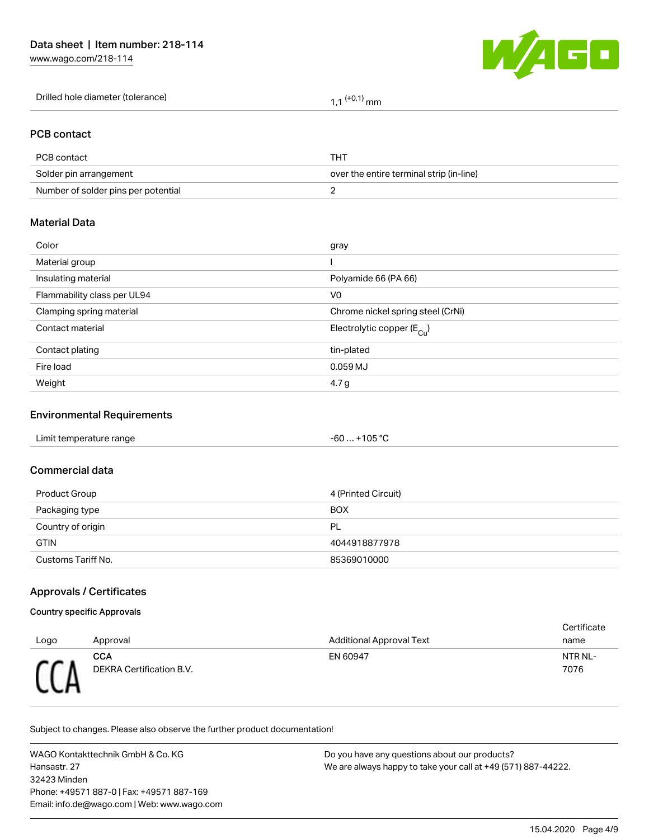[www.wago.com/218-114](http://www.wago.com/218-114)



#### PCB contact

| PCB contact                         | THT                                      |
|-------------------------------------|------------------------------------------|
| Solder pin arrangement              | over the entire terminal strip (in-line) |
| Number of solder pins per potential |                                          |

#### Material Data

| Color                       | gray                                   |
|-----------------------------|----------------------------------------|
| Material group              |                                        |
| Insulating material         | Polyamide 66 (PA 66)                   |
| Flammability class per UL94 | V <sub>0</sub>                         |
| Clamping spring material    | Chrome nickel spring steel (CrNi)      |
| Contact material            | Electrolytic copper (E <sub>Cu</sub> ) |
| Contact plating             | tin-plated                             |
| Fire load                   | $0.059$ MJ                             |
| Weight                      | 4.7 g                                  |
|                             |                                        |

### Environmental Requirements

#### Commercial data

| Product Group      | 4 (Printed Circuit) |
|--------------------|---------------------|
| Packaging type     | <b>BOX</b>          |
| Country of origin  | PL                  |
| <b>GTIN</b>        | 4044918877978       |
| Customs Tariff No. | 85369010000         |

### Approvals / Certificates

#### Country specific Approvals

|      |                                        |                                 | Certificate     |
|------|----------------------------------------|---------------------------------|-----------------|
| Logo | Approval                               | <b>Additional Approval Text</b> | name            |
|      | <b>CCA</b><br>DEKRA Certification B.V. | EN 60947                        | NTR NL-<br>7076 |

Subject to changes. Please also observe the further product documentation!

WAGO Kontakttechnik GmbH & Co. KG Hansastr. 27 32423 Minden Phone: +49571 887-0 | Fax: +49571 887-169 Email: info.de@wago.com | Web: www.wago.com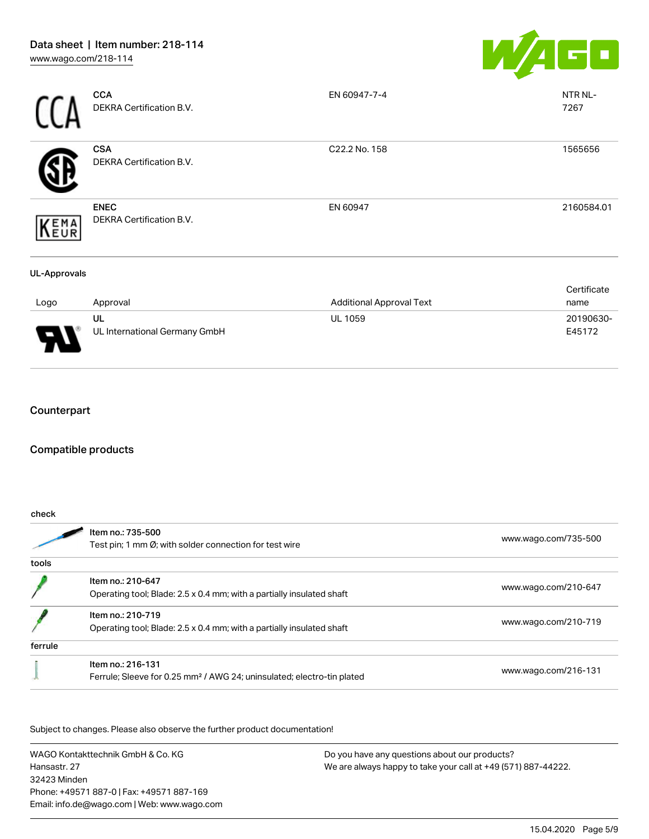

|                     | <b>CCA</b><br>DEKRA Certification B.V.  | EN 60947-7-4                    | NTR NL-<br>7267     |
|---------------------|-----------------------------------------|---------------------------------|---------------------|
|                     | <b>CSA</b><br>DEKRA Certification B.V.  | C22.2 No. 158                   | 1565656             |
| EMA<br>EUR          | <b>ENEC</b><br>DEKRA Certification B.V. | EN 60947                        | 2160584.01          |
| <b>UL-Approvals</b> |                                         |                                 |                     |
| Logo                | Approval                                | <b>Additional Approval Text</b> | Certificate<br>name |
|                     | UL<br>UL International Germany GmbH     | UL 1059                         | 20190630-<br>E45172 |

# Counterpart

#### Compatible products

| check   |                                                                                    |                      |  |
|---------|------------------------------------------------------------------------------------|----------------------|--|
|         | Item no.: 735-500<br>Test pin; 1 mm Ø; with solder connection for test wire        | www.wago.com/735-500 |  |
| tools   |                                                                                    |                      |  |
|         | Item no.: 210-647                                                                  |                      |  |
|         | Operating tool; Blade: 2.5 x 0.4 mm; with a partially insulated shaft              | www.wago.com/210-647 |  |
|         | Item no.: 210-719                                                                  |                      |  |
|         | Operating tool; Blade: 2.5 x 0.4 mm; with a partially insulated shaft              | www.wago.com/210-719 |  |
| ferrule |                                                                                    |                      |  |
|         | Item no.: 216-131                                                                  |                      |  |
|         | Ferrule; Sleeve for 0.25 mm <sup>2</sup> / AWG 24; uninsulated; electro-tin plated | www.wago.com/216-131 |  |

Subject to changes. Please also observe the further product documentation!

WAGO Kontakttechnik GmbH & Co. KG Hansastr. 27 32423 Minden Phone: +49571 887-0 | Fax: +49571 887-169 Email: info.de@wago.com | Web: www.wago.com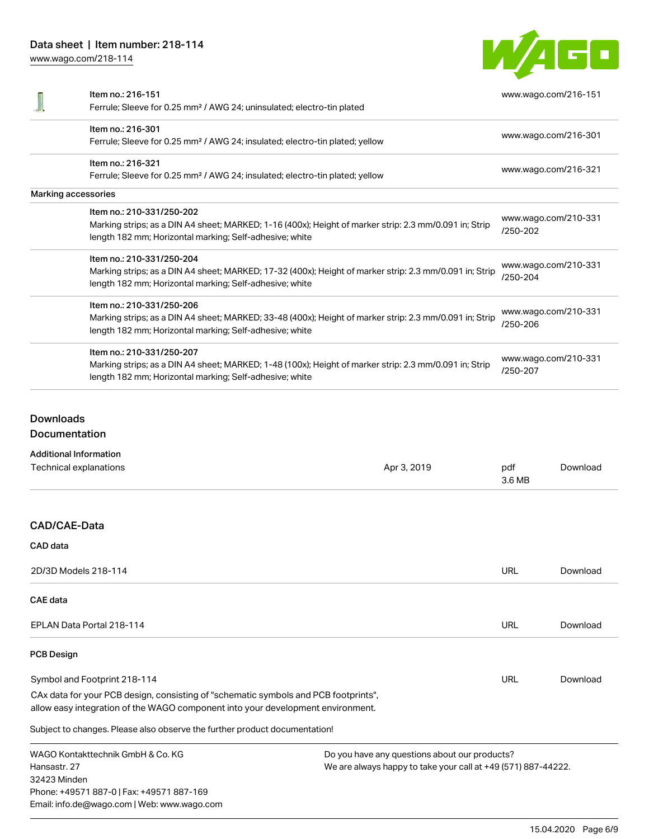[www.wago.com/218-114](http://www.wago.com/218-114)



| Item no.: 216-151                                                                                       | www.wago.com/216-151             |  |
|---------------------------------------------------------------------------------------------------------|----------------------------------|--|
| Ferrule; Sleeve for 0.25 mm <sup>2</sup> / AWG 24; uninsulated; electro-tin plated                      |                                  |  |
| Item no.: 216-301                                                                                       |                                  |  |
| Ferrule; Sleeve for 0.25 mm <sup>2</sup> / AWG 24; insulated; electro-tin plated; yellow                | www.wago.com/216-301             |  |
| Item no.: 216-321                                                                                       | www.wago.com/216-321             |  |
| Ferrule; Sleeve for 0.25 mm <sup>2</sup> / AWG 24; insulated; electro-tin plated; yellow                |                                  |  |
| Marking accessories                                                                                     |                                  |  |
| Item no.: 210-331/250-202                                                                               | www.wago.com/210-331             |  |
| Marking strips; as a DIN A4 sheet; MARKED; 1-16 (400x); Height of marker strip: 2.3 mm/0.091 in; Strip  | /250-202                         |  |
| length 182 mm; Horizontal marking; Self-adhesive; white                                                 |                                  |  |
| Item no.: 210-331/250-204                                                                               |                                  |  |
| Marking strips; as a DIN A4 sheet; MARKED; 17-32 (400x); Height of marker strip: 2.3 mm/0.091 in; Strip | www.wago.com/210-331<br>/250-204 |  |
| length 182 mm; Horizontal marking; Self-adhesive; white                                                 |                                  |  |
| Item no.: 210-331/250-206                                                                               |                                  |  |
| Marking strips; as a DIN A4 sheet; MARKED; 33-48 (400x); Height of marker strip: 2.3 mm/0.091 in; Strip | www.wago.com/210-331             |  |
| length 182 mm; Horizontal marking; Self-adhesive; white                                                 | /250-206                         |  |
| Item no.: 210-331/250-207                                                                               |                                  |  |
| Marking strips; as a DIN A4 sheet; MARKED; 1-48 (100x); Height of marker strip: 2.3 mm/0.091 in; Strip  | www.wago.com/210-331             |  |
| length 182 mm; Horizontal marking; Self-adhesive; white                                                 | /250-207                         |  |

Downloads Documentation

Additional Information

Email: info.de@wago.com | Web: www.wago.com

| Additional Information                                                                                                                                                 |                                                               |               |          |
|------------------------------------------------------------------------------------------------------------------------------------------------------------------------|---------------------------------------------------------------|---------------|----------|
| Technical explanations                                                                                                                                                 | Apr 3, 2019                                                   | pdf<br>3.6 MB | Download |
|                                                                                                                                                                        |                                                               |               |          |
| CAD/CAE-Data                                                                                                                                                           |                                                               |               |          |
| CAD data                                                                                                                                                               |                                                               |               |          |
| 2D/3D Models 218-114                                                                                                                                                   |                                                               | <b>URL</b>    | Download |
| <b>CAE</b> data                                                                                                                                                        |                                                               |               |          |
| EPLAN Data Portal 218-114                                                                                                                                              |                                                               | URL           | Download |
| <b>PCB Design</b>                                                                                                                                                      |                                                               |               |          |
| Symbol and Footprint 218-114                                                                                                                                           |                                                               | <b>URL</b>    | Download |
| CAx data for your PCB design, consisting of "schematic symbols and PCB footprints",<br>allow easy integration of the WAGO component into your development environment. |                                                               |               |          |
| Subject to changes. Please also observe the further product documentation!                                                                                             |                                                               |               |          |
| WAGO Kontakttechnik GmbH & Co. KG                                                                                                                                      | Do you have any questions about our products?                 |               |          |
| Hansastr, 27                                                                                                                                                           | We are always happy to take your call at +49 (571) 887-44222. |               |          |
| 32423 Minden                                                                                                                                                           |                                                               |               |          |
| Phone: +49571 887-0   Fax: +49571 887-169                                                                                                                              |                                                               |               |          |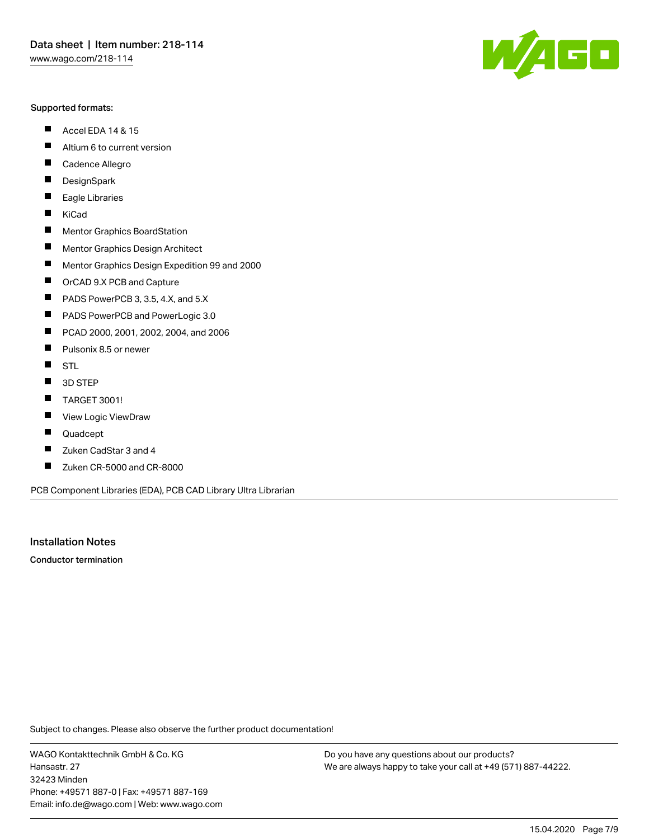#### Supported formats:

- $\blacksquare$ Accel EDA 14 & 15
- $\blacksquare$ Altium 6 to current version
- $\blacksquare$ Cadence Allegro
- $\blacksquare$ **DesignSpark**
- $\blacksquare$ Eagle Libraries
- $\blacksquare$ KiCad
- $\blacksquare$ Mentor Graphics BoardStation
- $\blacksquare$ Mentor Graphics Design Architect
- $\blacksquare$ Mentor Graphics Design Expedition 99 and 2000
- $\blacksquare$ OrCAD 9.X PCB and Capture
- $\blacksquare$ PADS PowerPCB 3, 3.5, 4.X, and 5.X
- $\blacksquare$ PADS PowerPCB and PowerLogic 3.0
- $\blacksquare$ PCAD 2000, 2001, 2002, 2004, and 2006
- $\blacksquare$ Pulsonix 8.5 or newer
- $\blacksquare$ STL
- 3D STEP П
- П TARGET 3001!
- $\blacksquare$ View Logic ViewDraw
- П Quadcept
- $\blacksquare$ Zuken CadStar 3 and 4
- Zuken CR-5000 and CR-8000 П

PCB Component Libraries (EDA), PCB CAD Library Ultra Librarian

Installation Notes

Conductor termination

Subject to changes. Please also observe the further product documentation!

WAGO Kontakttechnik GmbH & Co. KG Hansastr. 27 32423 Minden Phone: +49571 887-0 | Fax: +49571 887-169 Email: info.de@wago.com | Web: www.wago.com

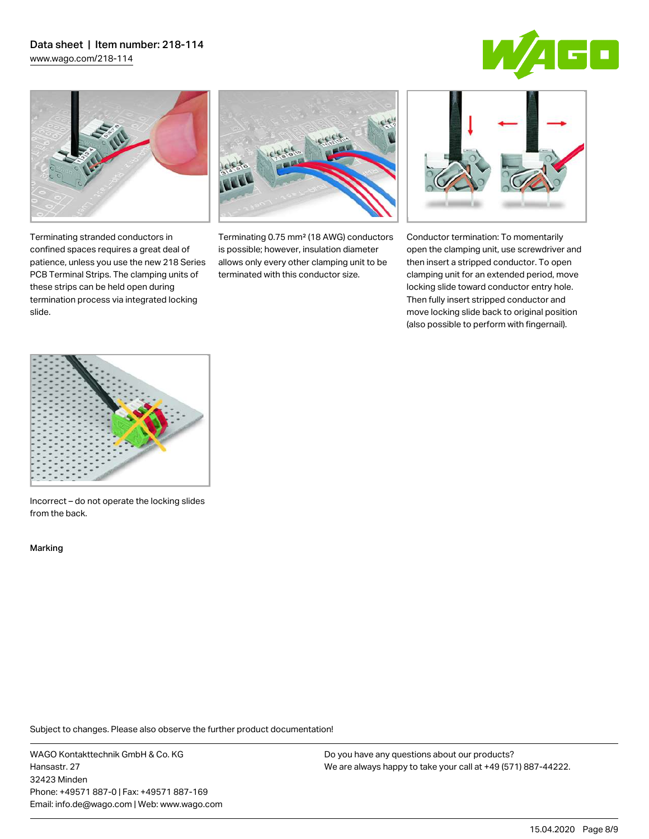# Data sheet | Item number: 218-114

[www.wago.com/218-114](http://www.wago.com/218-114)





Terminating stranded conductors in confined spaces requires a great deal of patience, unless you use the new 218 Series PCB Terminal Strips. The clamping units of these strips can be held open during termination process via integrated locking



Terminating 0.75 mm² (18 AWG) conductors is possible; however, insulation diameter allows only every other clamping unit to be terminated with this conductor size.



Conductor termination: To momentarily open the clamping unit, use screwdriver and then insert a stripped conductor. To open clamping unit for an extended period, move locking slide toward conductor entry hole. Then fully insert stripped conductor and move locking slide back to original position (also possible to perform with fingernail).



Incorrect – do not operate the locking slides from the back.

Marking

slide.

Subject to changes. Please also observe the further product documentation!

WAGO Kontakttechnik GmbH & Co. KG Hansastr. 27 32423 Minden Phone: +49571 887-0 | Fax: +49571 887-169 Email: info.de@wago.com | Web: www.wago.com